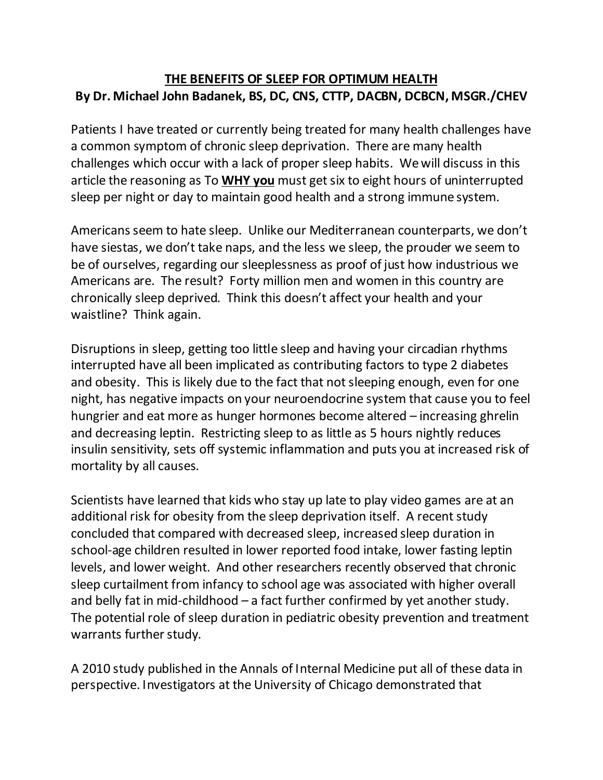## **THE BENEFITS OF SLEEP FOR OPTIMUM HEALTH By Dr. Michael John Badanek, BS, DC, CNS, CTTP, DACBN, DCBCN, MSGR./CHEV**

Patients I have treated or currently being treated for many health challenges have a common symptom of chronic sleep deprivation. There are many health challenges which occur with a lack of proper sleep habits. We will discuss in this article the reasoning as To **WHY you** must get six to eight hours of uninterrupted sleep per night or day to maintain good health and a strong immune system.

Americans seem to hate sleep. Unlike our Mediterranean counterparts, we don't have siestas, we don't take naps, and the less we sleep, the prouder we seem to be of ourselves, regarding our sleeplessness as proof of just how industrious we Americans are. The result? Forty million men and women in this country are chronically sleep deprived. Think this doesn't affect your health and your waistline? Think again.

Disruptions in sleep, getting too little sleep and having your circadian rhythms interrupted have all been implicated as contributing factors to type 2 diabetes and obesity. This is likely due to the fact that not sleeping enough, even for one night, has negative impacts on your neuroendocrine system that cause you to feel hungrier and eat more as hunger hormones become altered – increasing ghrelin and decreasing leptin. Restricting sleep to as little as 5 hours nightly reduces insulin sensitivity, sets off systemic inflammation and puts you at increased risk of mortality by all causes.

Scientists have learned that kids who stay up late to play video games are at an additional risk for obesity from the sleep deprivation itself. A recent study concluded that compared with decreased sleep, increased sleep duration in school-age children resulted in lower reported food intake, lower fasting leptin levels, and lower weight. And other researchers recently observed that chronic sleep curtailment from infancy to school age was associated with higher overall and belly fat in mid-childhood – a fact further confirmed by yet another study. The potential role of sleep duration in pediatric obesity prevention and treatment warrants further study.

A 2010 study published in the Annals of Internal Medicine put all of these data in perspective. Investigators at the University of Chicago demonstrated that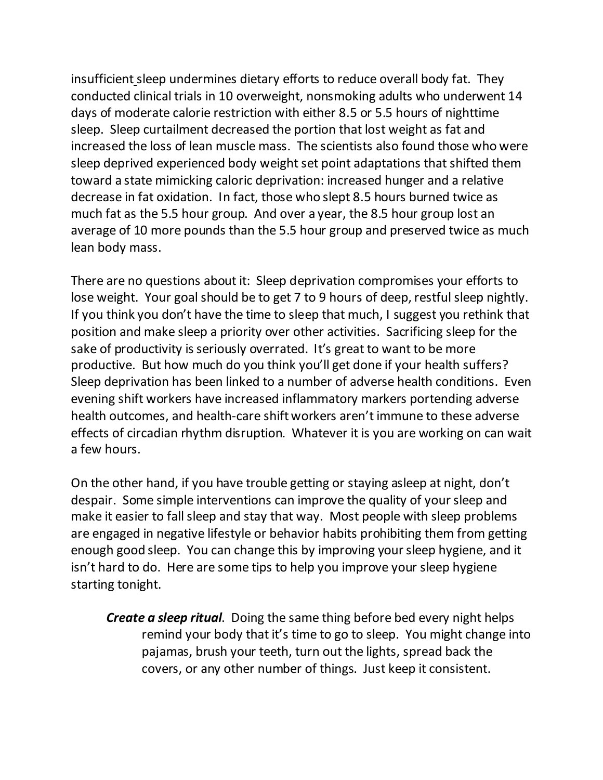insufficient sleep undermines dietary efforts to reduce overall body fat. They conducted clinical trials in 10 overweight, nonsmoking adults who underwent 14 days of moderate calorie restriction with either 8.5 or 5.5 hours of nighttime sleep. Sleep curtailment decreased the portion that lost weight as fat and increased the loss of lean muscle mass. The scientists also found those who were sleep deprived experienced body weight set point adaptations that shifted them toward a state mimicking caloric deprivation: increased hunger and a relative decrease in fat oxidation. In fact, those who slept 8.5 hours burned twice as much fat as the 5.5 hour group. And over a year, the 8.5 hour group lost an average of 10 more pounds than the 5.5 hour group and preserved twice as much lean body mass.

There are no questions about it: Sleep deprivation compromises your efforts to lose weight. Your goal should be to get 7 to 9 hours of deep, restful sleep nightly. If you think you don't have the time to sleep that much, I suggest you rethink that position and make sleep a priority over other activities. Sacrificing sleep for the sake of productivity is seriously overrated. It's great to want to be more productive. But how much do you think you'll get done if your health suffers? Sleep deprivation has been linked to a number of adverse health conditions. Even evening shift workers have increased inflammatory markers portending adverse health outcomes, and health-care shift workers aren't immune to these adverse effects of circadian rhythm disruption. Whatever it is you are working on can wait a few hours.

On the other hand, if you have trouble getting or staying asleep at night, don't despair. Some simple interventions can improve the quality of your sleep and make it easier to fall sleep and stay that way. Most people with sleep problems are engaged in negative lifestyle or behavior habits prohibiting them from getting enough good sleep. You can change this by improving your sleep hygiene, and it isn't hard to do. Here are some tips to help you improve your sleep hygiene starting tonight.

*Create a sleep ritual*. Doing the same thing before bed every night helps remind your body that it's time to go to sleep. You might change into pajamas, brush your teeth, turn out the lights, spread back the covers, or any other number of things. Just keep it consistent.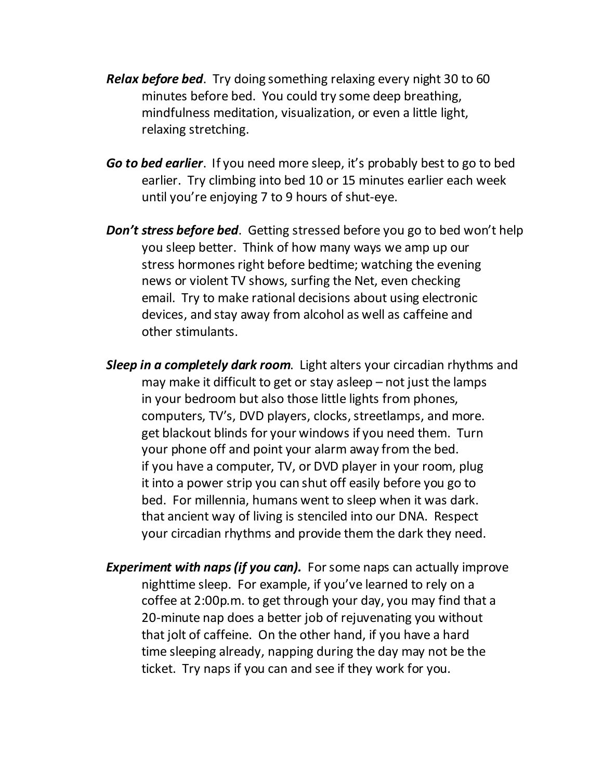- *Relax before bed*. Try doing something relaxing every night 30 to 60 minutes before bed. You could try some deep breathing, mindfulness meditation, visualization, or even a little light, relaxing stretching.
- *Go to bed earlier*. If you need more sleep, it's probably best to go to bed earlier. Try climbing into bed 10 or 15 minutes earlier each week until you're enjoying 7 to 9 hours of shut-eye.
- *Don't stress before bed*. Getting stressed before you go to bed won't help you sleep better. Think of how many ways we amp up our stress hormones right before bedtime; watching the evening news or violent TV shows, surfing the Net, even checking email. Try to make rational decisions about using electronic devices, and stay away from alcohol as well as caffeine and other stimulants.
- *Sleep in a completely dark room*. Light alters your circadian rhythms and may make it difficult to get or stay asleep – not just the lamps in your bedroom but also those little lights from phones, computers, TV's, DVD players, clocks, streetlamps, and more. get blackout blinds for your windows if you need them. Turn your phone off and point your alarm away from the bed. if you have a computer, TV, or DVD player in your room, plug it into a power strip you can shut off easily before you go to bed. For millennia, humans went to sleep when it was dark. that ancient way of living is stenciled into our DNA. Respect your circadian rhythms and provide them the dark they need.
- *Experiment with naps (if you can).* For some naps can actually improve nighttime sleep. For example, if you've learned to rely on a coffee at 2:00p.m. to get through your day, you may find that a 20-minute nap does a better job of rejuvenating you without that jolt of caffeine. On the other hand, if you have a hard time sleeping already, napping during the day may not be the ticket. Try naps if you can and see if they work for you.